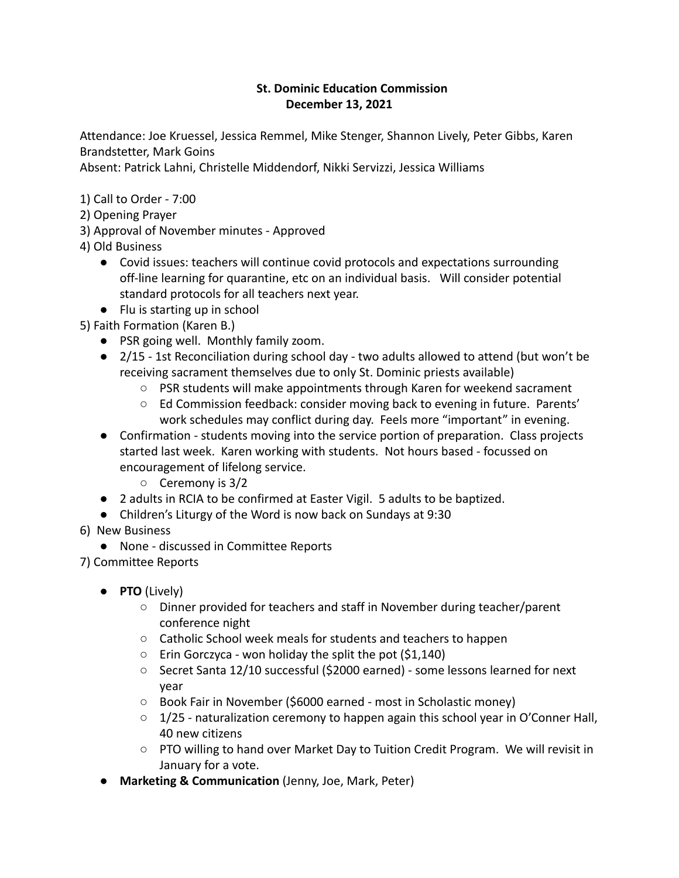## **St. Dominic Education Commission December 13, 2021**

Attendance: Joe Kruessel, Jessica Remmel, Mike Stenger, Shannon Lively, Peter Gibbs, Karen Brandstetter, Mark Goins

Absent: Patrick Lahni, Christelle Middendorf, Nikki Servizzi, Jessica Williams

1) Call to Order - 7:00

- 2) Opening Prayer
- 3) Approval of November minutes Approved

4) Old Business

- Covid issues: teachers will continue covid protocols and expectations surrounding off-line learning for quarantine, etc on an individual basis. Will consider potential standard protocols for all teachers next year.
- Flu is starting up in school
- 5) Faith Formation (Karen B.)
	- PSR going well. Monthly family zoom.
	- 2/15 1st Reconciliation during school day two adults allowed to attend (but won't be receiving sacrament themselves due to only St. Dominic priests available)
		- $\circ$  PSR students will make appointments through Karen for weekend sacrament
		- Ed Commission feedback: consider moving back to evening in future. Parents' work schedules may conflict during day. Feels more "important" in evening.
	- Confirmation students moving into the service portion of preparation. Class projects started last week. Karen working with students. Not hours based - focussed on encouragement of lifelong service.
		- Ceremony is 3/2
	- 2 adults in RCIA to be confirmed at Easter Vigil. 5 adults to be baptized.
	- Children's Liturgy of the Word is now back on Sundays at 9:30
- 6) New Business
	- None discussed in Committee Reports

7) Committee Reports

- **PTO** (Lively)
	- Dinner provided for teachers and staff in November during teacher/parent conference night
	- Catholic School week meals for students and teachers to happen
	- Erin Gorczyca won holiday the split the pot (\$1,140)
	- Secret Santa 12/10 successful (\$2000 earned) some lessons learned for next year
	- Book Fair in November (\$6000 earned most in Scholastic money)
	- $\circ$  1/25 naturalization ceremony to happen again this school year in O'Conner Hall, 40 new citizens
	- PTO willing to hand over Market Day to Tuition Credit Program. We will revisit in January for a vote.
- **● Marketing & Communication** (Jenny, Joe, Mark, Peter)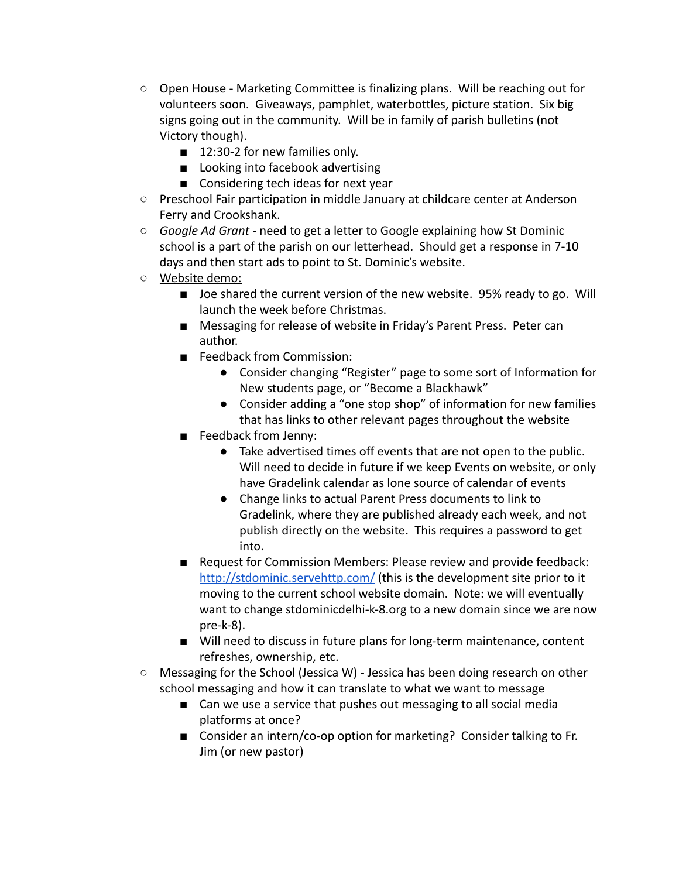- Open House Marketing Committee is finalizing plans. Will be reaching out for volunteers soon. Giveaways, pamphlet, waterbottles, picture station. Six big signs going out in the community. Will be in family of parish bulletins (not Victory though).
	- 12:30-2 for new families only.
	- Looking into facebook advertising
	- Considering tech ideas for next year
- Preschool Fair participation in middle January at childcare center at Anderson Ferry and Crookshank.
- *Google Ad Grant* need to get a letter to Google explaining how St Dominic school is a part of the parish on our letterhead. Should get a response in 7-10 days and then start ads to point to St. Dominic's website.
- Website demo:
	- Joe shared the current version of the new website. 95% ready to go. Will launch the week before Christmas.
	- Messaging for release of website in Friday's Parent Press. Peter can author.
	- Feedback from Commission:
		- Consider changing "Register" page to some sort of Information for New students page, or "Become a Blackhawk"
		- Consider adding a "one stop shop" of information for new families that has links to other relevant pages throughout the website
	- Feedback from Jenny:
		- Take advertised times off events that are not open to the public. Will need to decide in future if we keep Events on website, or only have Gradelink calendar as lone source of calendar of events
		- Change links to actual Parent Press documents to link to Gradelink, where they are published already each week, and not publish directly on the website. This requires a password to get into.
	- Request for Commission Members: Please review and provide feedback: <http://stdominic.servehttp.com/> (this is the development site prior to it moving to the current school website domain. Note: we will eventually want to change stdominicdelhi-k-8.org to a new domain since we are now pre-k-8).
	- Will need to discuss in future plans for long-term maintenance, content refreshes, ownership, etc.
- $\circ$  Messaging for the School (Jessica W) Jessica has been doing research on other school messaging and how it can translate to what we want to message
	- Can we use a service that pushes out messaging to all social media platforms at once?
	- Consider an intern/co-op option for marketing? Consider talking to Fr. Jim (or new pastor)